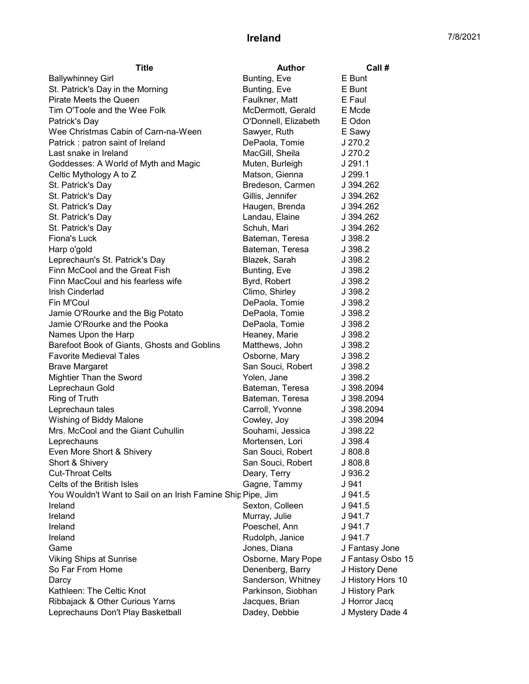## **Ireland** 7/8/2021

| <b>Title</b>                                                | <b>Author</b>        | Call #            |
|-------------------------------------------------------------|----------------------|-------------------|
| <b>Ballywhinney Girl</b>                                    | Bunting, Eve         | E Bunt            |
| St. Patrick's Day in the Morning                            | Bunting, Eve         | E Bunt            |
| Pirate Meets the Queen                                      | Faulkner, Matt       | E Faul            |
| Tim O'Toole and the Wee Folk                                | McDermott, Gerald    | E Mcde            |
| Patrick's Day                                               | O'Donnell, Elizabeth | E Odon            |
| Wee Christmas Cabin of Carn-na-Ween                         | Sawyer, Ruth         | E Sawy            |
| Patrick: patron saint of Ireland                            | DePaola, Tomie       | J 270.2           |
| Last snake in Ireland                                       | MacGill, Sheila      | J 270.2           |
| Goddesses: A World of Myth and Magic                        | Muten, Burleigh      | J 291.1           |
| Celtic Mythology A to Z                                     | Matson, Gienna       | J 299.1           |
| St. Patrick's Day                                           | Bredeson, Carmen     | J 394.262         |
| St. Patrick's Day                                           | Gillis, Jennifer     | J 394.262         |
| St. Patrick's Day                                           | Haugen, Brenda       | J 394.262         |
| St. Patrick's Day                                           | Landau, Elaine       | J 394.262         |
| St. Patrick's Day                                           | Schuh, Mari          | J 394.262         |
| Fiona's Luck                                                | Bateman, Teresa      | J 398.2           |
| Harp o'gold                                                 | Bateman, Teresa      | J 398.2           |
| Leprechaun's St. Patrick's Day                              | Blazek, Sarah        | J 398.2           |
| Finn McCool and the Great Fish                              | Bunting, Eve         | J 398.2           |
| Finn MacCoul and his fearless wife                          | Byrd, Robert         | J 398.2           |
| <b>Irish Cinderlad</b>                                      | Climo, Shirley       | J 398.2           |
| Fin M'Coul                                                  | DePaola, Tomie       | J 398.2           |
| Jamie O'Rourke and the Big Potato                           | DePaola, Tomie       | J 398.2           |
| Jamie O'Rourke and the Pooka                                | DePaola, Tomie       | J 398.2           |
| Names Upon the Harp                                         | Heaney, Marie        | J 398.2           |
| Barefoot Book of Giants, Ghosts and Goblins                 | Matthews, John       | J 398.2           |
| <b>Favorite Medieval Tales</b>                              | Osborne, Mary        | J 398.2           |
| <b>Brave Margaret</b>                                       | San Souci, Robert    | J 398.2           |
| Mightier Than the Sword                                     | Yolen, Jane          | J 398.2           |
| Leprechaun Gold                                             | Bateman, Teresa      | J 398.2094        |
| Ring of Truth                                               | Bateman, Teresa      | J 398.2094        |
| Leprechaun tales                                            | Carroll, Yvonne      | J 398.2094        |
| Wishing of Biddy Malone                                     | Cowley, Joy          | J 398.2094        |
| Mrs. McCool and the Giant Cuhullin                          | Souhami, Jessica     | J 398.22          |
| Leprechauns                                                 | Mortensen, Lori      | J 398.4           |
| Even More Short & Shivery                                   | San Souci, Robert    | J 808.8           |
| Short & Shivery                                             | San Souci, Robert    | J 808.8           |
| <b>Cut-Throat Celts</b>                                     | Deary, Terry         | J 936.2           |
| Celts of the British Isles                                  | Gagne, Tammy         | J 941             |
| You Wouldn't Want to Sail on an Irish Famine Ship Pipe, Jim |                      | J 941.5           |
| Ireland                                                     | Sexton, Colleen      | J 941.5           |
| Ireland                                                     | Murray, Julie        | J 941.7           |
| Ireland                                                     | Poeschel, Ann        | J 941.7           |
| Ireland                                                     | Rudolph, Janice      | J 941.7           |
| Game                                                        | Jones, Diana         | J Fantasy Jone    |
| <b>Viking Ships at Sunrise</b>                              | Osborne, Mary Pope   | J Fantasy Osbo 15 |
| So Far From Home                                            | Denenberg, Barry     | J History Dene    |
| Darcy                                                       | Sanderson, Whitney   | J History Hors 10 |
| Kathleen: The Celtic Knot                                   | Parkinson, Siobhan   | J History Park    |
| Ribbajack & Other Curious Yarns                             | Jacques, Brian       | J Horror Jacq     |
| Leprechauns Don't Play Basketball                           | Dadey, Debbie        | J Mystery Dade 4  |
|                                                             |                      |                   |